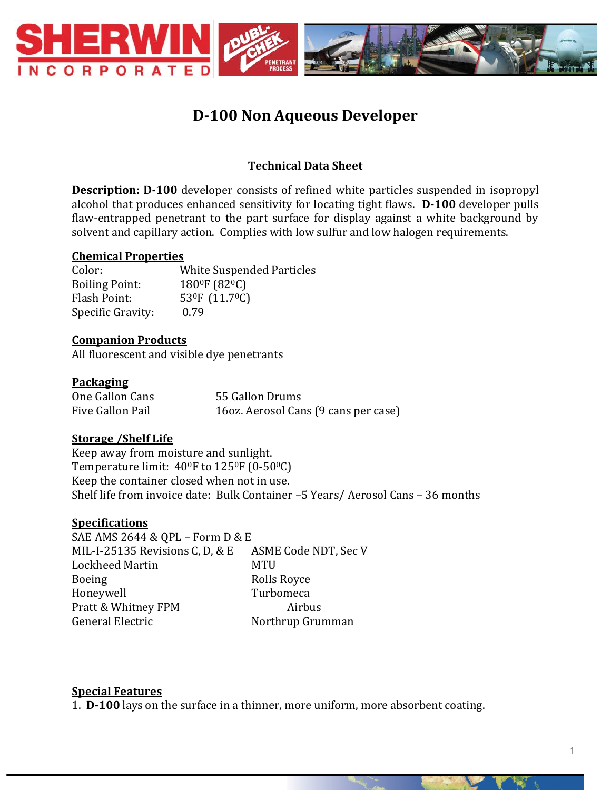

# **D-100 Non Aqueous Developer**

## **Technical Data Sheet**

**Description: D-100** developer consists of refined white particles suspended in isopropyl alcohol that produces enhanced sensitivity for locating tight flaws. **D-100** developer pulls flaw-entrapped penetrant to the part surface for display against a white background by solvent and capillary action. Complies with low sulfur and low halogen requirements.

## **Chemical Properties**

Color: White Suspended Particles Boiling Point: 180<sup>0</sup>F (82<sup>0</sup>C) Flash Point: 53<sup>0</sup>F (11.7<sup>0</sup>C) Specific Gravity: 0.79

## **Companion Products**

All fluorescent and visible dye penetrants

## **Packaging**

| One Gallon Cans  | 55 Gallon Drums                      |
|------------------|--------------------------------------|
| Five Gallon Pail | 16oz. Aerosol Cans (9 cans per case) |

## **Storage /Shelf Life**

Keep away from moisture and sunlight. Temperature limit:  $40^{\circ}$ F to  $125^{\circ}$ F (0-50 $^{\circ}$ C) Keep the container closed when not in use. Shelf life from invoice date: Bulk Container –5 Years/ Aerosol Cans – 36 months

#### **Specifications**

SAE AMS 2644 & QPL – Form D & E MIL-I-25135 Revisions C, D, & E ASME Code NDT, Sec V Lockheed Martin MTU Boeing Rolls Royce Honeywell Turbomeca Pratt & Whitney FPM Airbus General Electric Northrup Grumman

#### **Special Features**

1. **D-100** lays on the surface in a thinner, more uniform, more absorbent coating.